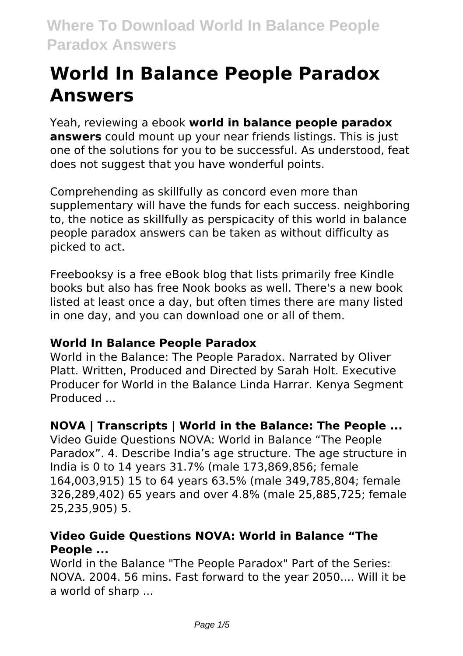# **World In Balance People Paradox Answers**

Yeah, reviewing a ebook **world in balance people paradox answers** could mount up your near friends listings. This is just one of the solutions for you to be successful. As understood, feat does not suggest that you have wonderful points.

Comprehending as skillfully as concord even more than supplementary will have the funds for each success. neighboring to, the notice as skillfully as perspicacity of this world in balance people paradox answers can be taken as without difficulty as picked to act.

Freebooksy is a free eBook blog that lists primarily free Kindle books but also has free Nook books as well. There's a new book listed at least once a day, but often times there are many listed in one day, and you can download one or all of them.

#### **World In Balance People Paradox**

World in the Balance: The People Paradox. Narrated by Oliver Platt. Written, Produced and Directed by Sarah Holt. Executive Producer for World in the Balance Linda Harrar. Kenya Segment Produced ...

#### **NOVA | Transcripts | World in the Balance: The People ...**

Video Guide Questions NOVA: World in Balance "The People Paradox". 4. Describe India's age structure. The age structure in India is 0 to 14 years 31.7% (male 173,869,856; female 164,003,915) 15 to 64 years 63.5% (male 349,785,804; female 326,289,402) 65 years and over 4.8% (male 25,885,725; female 25,235,905) 5.

#### **Video Guide Questions NOVA: World in Balance "The People ...**

World in the Balance "The People Paradox" Part of the Series: NOVA. 2004. 56 mins. Fast forward to the year 2050.... Will it be a world of sharp ...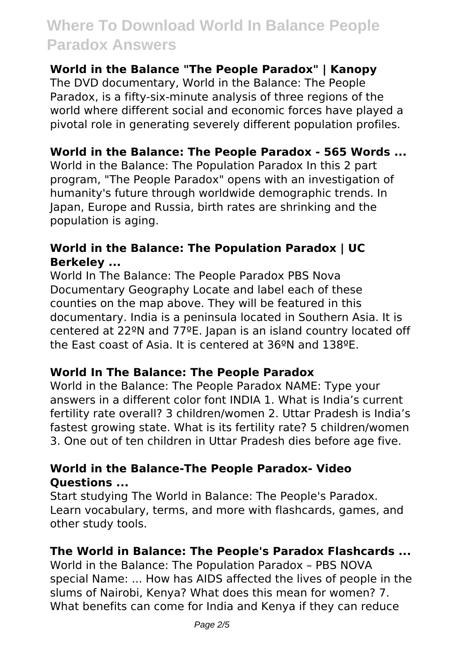#### **World in the Balance "The People Paradox" | Kanopy**

The DVD documentary, World in the Balance: The People Paradox, is a fifty-six-minute analysis of three regions of the world where different social and economic forces have played a pivotal role in generating severely different population profiles.

#### **World in the Balance: The People Paradox - 565 Words ...**

World in the Balance: The Population Paradox In this 2 part program, "The People Paradox" opens with an investigation of humanity's future through worldwide demographic trends. In Japan, Europe and Russia, birth rates are shrinking and the population is aging.

#### **World in the Balance: The Population Paradox | UC Berkeley ...**

World In The Balance: The People Paradox PBS Nova Documentary Geography Locate and label each of these counties on the map above. They will be featured in this documentary. India is a peninsula located in Southern Asia. It is centered at 22ºN and 77ºE. Japan is an island country located off the East coast of Asia. It is centered at 36ºN and 138ºE.

#### **World In The Balance: The People Paradox**

World in the Balance: The People Paradox NAME: Type your answers in a different color font INDIA 1. What is India's current fertility rate overall? 3 children/women 2. Uttar Pradesh is India's fastest growing state. What is its fertility rate? 5 children/women 3. One out of ten children in Uttar Pradesh dies before age five.

#### **World in the Balance-The People Paradox- Video Questions ...**

Start studying The World in Balance: The People's Paradox. Learn vocabulary, terms, and more with flashcards, games, and other study tools.

#### **The World in Balance: The People's Paradox Flashcards ...**

World in the Balance: The Population Paradox – PBS NOVA special Name: ... How has AIDS affected the lives of people in the slums of Nairobi, Kenya? What does this mean for women? 7. What benefits can come for India and Kenya if they can reduce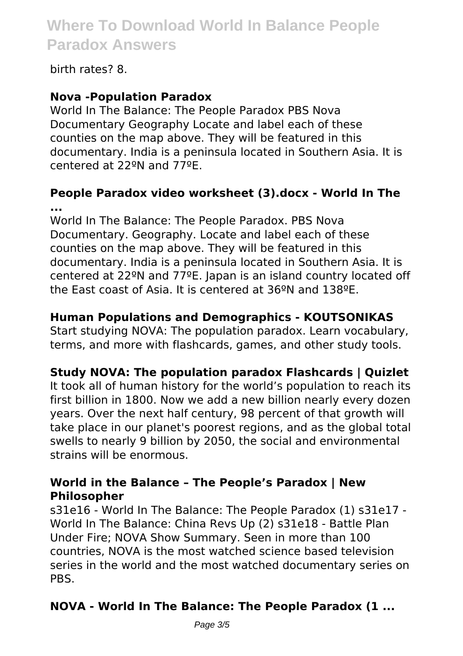birth rates? 8.

#### **Nova -Population Paradox**

World In The Balance: The People Paradox PBS Nova Documentary Geography Locate and label each of these counties on the map above. They will be featured in this documentary. India is a peninsula located in Southern Asia. It is centered at 22ºN and 77ºE.

#### **People Paradox video worksheet (3).docx - World In The ...**

World In The Balance: The People Paradox. PBS Nova Documentary. Geography. Locate and label each of these counties on the map above. They will be featured in this documentary. India is a peninsula located in Southern Asia. It is centered at 22ºN and 77ºE. Japan is an island country located off the East coast of Asia. It is centered at 36ºN and 138ºE.

#### **Human Populations and Demographics - KOUTSONIKAS**

Start studying NOVA: The population paradox. Learn vocabulary, terms, and more with flashcards, games, and other study tools.

#### **Study NOVA: The population paradox Flashcards | Quizlet**

It took all of human history for the world's population to reach its first billion in 1800. Now we add a new billion nearly every dozen years. Over the next half century, 98 percent of that growth will take place in our planet's poorest regions, and as the global total swells to nearly 9 billion by 2050, the social and environmental strains will be enormous.

#### **World in the Balance – The People's Paradox | New Philosopher**

s31e16 - World In The Balance: The People Paradox (1) s31e17 - World In The Balance: China Revs Up (2) s31e18 - Battle Plan Under Fire; NOVA Show Summary. Seen in more than 100 countries, NOVA is the most watched science based television series in the world and the most watched documentary series on PBS.

### **NOVA - World In The Balance: The People Paradox (1 ...**